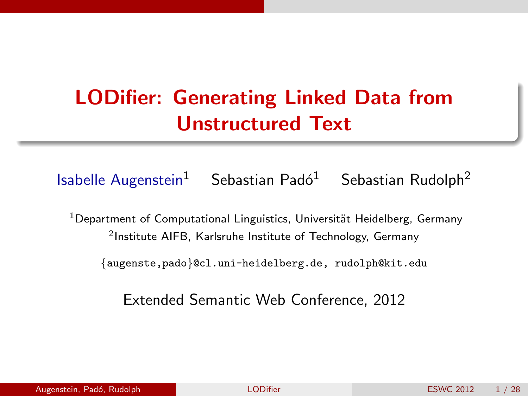## LODifier: Generating Linked Data from Unstructured Text

Isabelle Augenstein<sup>1</sup> Sebastian Padó<sup>1</sup> Sebastian Rudolph<sup>2</sup>

 $1$ Department of Computational Linguistics, Universität Heidelberg, Germany 2 Institute AIFB, Karlsruhe Institute of Technology, Germany

{augenste,pado}@cl.uni-heidelberg.de, rudolph@kit.edu

<span id="page-0-0"></span>Extended Semantic Web Conference, 2012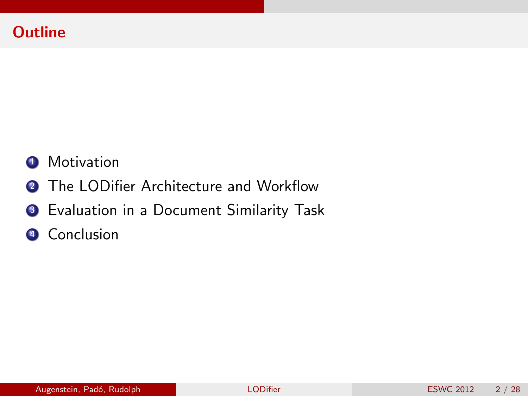#### **Outline**

#### **1** Motivation

- **2** The LODifier Architecture and Workflow
- <sup>3</sup> Evaluation in a Document Similarity Task
- **4** Conclusion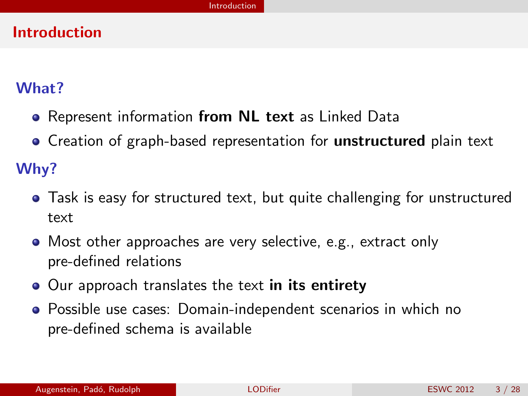#### Introduction

#### What?

- Represent information from NL text as Linked Data
- Creation of graph-based representation for **unstructured** plain text

Why?

- Task is easy for structured text, but quite challenging for unstructured text
- Most other approaches are very selective, e.g., extract only pre-defined relations
- Our approach translates the text in its entirety
- <span id="page-2-0"></span>Possible use cases: Domain-independent scenarios in which no pre-defined schema is available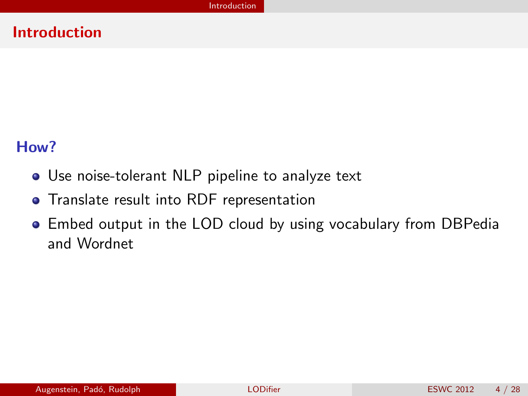#### Introduction

#### How?

- Use noise-tolerant NLP pipeline to analyze text
- **•** Translate result into RDF representation
- <span id="page-3-0"></span>Embed output in the LOD cloud by using vocabulary from DBPedia and Wordnet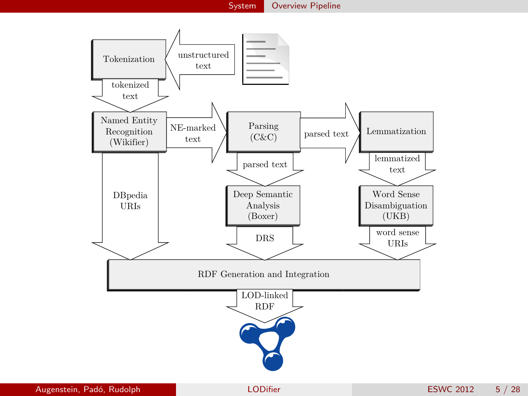<span id="page-4-0"></span>

[System](#page-4-0) [Overview Pipeline](#page-4-0)

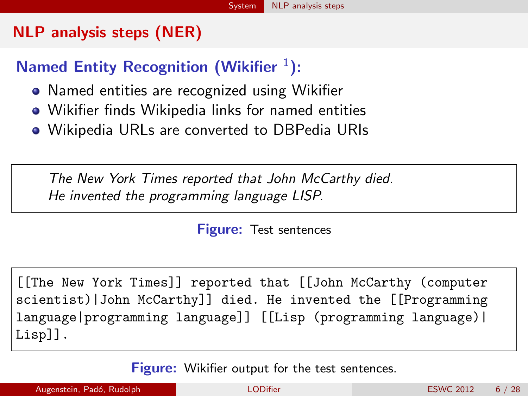#### NLP analysis steps (NER)

### Named Entity Recognition (Wikifier  $1$ ):

- Named entities are recognized using Wikifier
- Wikifier finds Wikipedia links for named entities
- Wikipedia URLs are converted to DBPedia URIs

The New York Times reported that John McCarthy died. He invented the programming language LISP.

<span id="page-5-0"></span>Figure: Test sentences

[[The New York Times]] reported that [[John McCarthy (computer scientist)|John McCarthy]] died. He invented the [[Programming language|programming language]] [[Lisp (programming language)| Lisp]].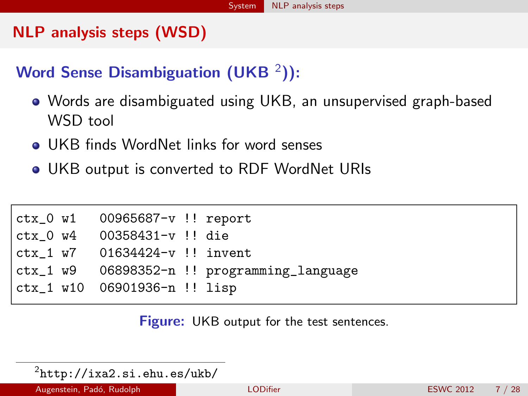#### NLP analysis steps (WSD)

### Word Sense Disambiguation (UKB  $^2$ )):

- Words are disambiguated using UKB, an unsupervised graph-based WSD tool
- **Q. UKB finds WordNet links for word senses**
- UKB output is converted to RDF WordNet URIs

| $ctx_0 w1 00965687-v!!$ report |                                             |
|--------------------------------|---------------------------------------------|
| $ctx_0 w4 00358431-v!!$ die    |                                             |
| ctx 1 w7 01634424-v !! invent  |                                             |
|                                | ctx_1 w9 06898352-n !! programming_language |
| ctx_1 w10 06901936-n !! lisp   |                                             |

<span id="page-6-0"></span>Figure: UKB output for the test sentences.

 $^2$ http://ixa $2.\,\mathrm{si.ehu.}$ es/ukb/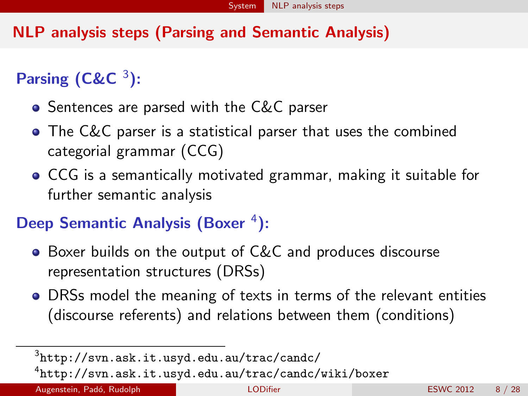#### NLP analysis steps (Parsing and Semantic Analysis)

Parsing  $(C\&C<sup>3</sup>)$ :

- **•** Sentences are parsed with the C&C parser
- **•** The C&C parser is a statistical parser that uses the combined categorial grammar (CCG)
- CCG is a semantically motivated grammar, making it suitable for further semantic analysis

### Deep Semantic Analysis (Boxer<sup>4</sup>):

- Boxer builds on the output of C&C and produces discourse representation structures (DRSs)
- DRSs model the meaning of texts in terms of the relevant entities (discourse referents) and relations between them (conditions)

Augenstein, Padó, Rudolph **[LODifier](#page-0-0)** LODifier ESWC 2012 8 / 28

 $^3$ <http://svn.ask.it.usyd.edu.au/trac/candc/>

<span id="page-7-0"></span><sup>4</sup> <http://svn.ask.it.usyd.edu.au/trac/candc/wiki/boxer>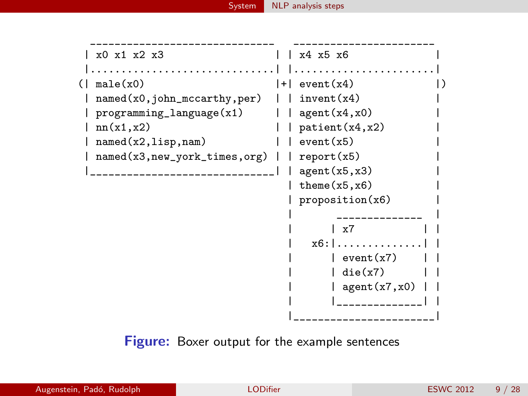

<span id="page-8-0"></span>Figure: Boxer output for the example sentences

|  | Augenstein, Padó, Rudolph | <b>LODifier</b> | 9/28<br><b>ESWC 2012</b> |
|--|---------------------------|-----------------|--------------------------|
|--|---------------------------|-----------------|--------------------------|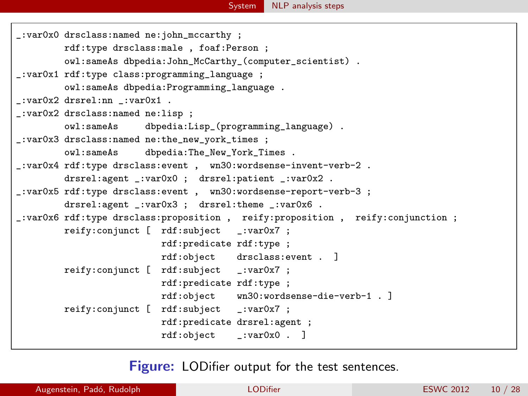```
_:var0x0 drsclass:named ne:john_mccarthy ;
        rdf:type drsclass:male , foaf:Person ;
        owl:sameAs dbpedia:John_McCarthy_(computer_scientist) .
_:var0x1 rdf:type class:programming_language ;
        owl:sameAs dbpedia:Programming_language .
_:var0x2 drsrel:nn _:var0x1 .
_:var0x2 drsclass:named ne:lisp ;
        owl:sameAs dbpedia:Lisp_(programming_language) .
_:var0x3 drsclass:named ne:the_new_york_times ;
        owl:sameAs dbpedia:The_New_York_Times .
_:var0x4 rdf:type drsclass:event , wn30:wordsense-invent-verb-2 .
        drsrel:agent _:var0x0 ; drsrel:patient _:var0x2 .
_:var0x5 rdf:type drsclass:event , wn30:wordsense-report-verb-3 ;
        drsrel:agent :var0x3 : drsrel:theme :var0x6.
_:var0x6 rdf:type drsclass:proposition , reify:proposition , reify:conjunction ;
        reify:conjunct [ rdf:subject _:var0x7 ;
                          rdf:predicate rdf:type ;
                          rdf:object drsclass:event . ]
        reify:conjunct [ rdf:subject _:var0x7 ;
                          rdf:predicate rdf:type ;
                          rdf:object wn30:wordsense-die-verb-1 . ]
        reify:conjunct [ rdf:subject _:var0x7 ;
                          rdf:predicate drsrel:agent ;
                          rdf:object _:var0x0 . ]
```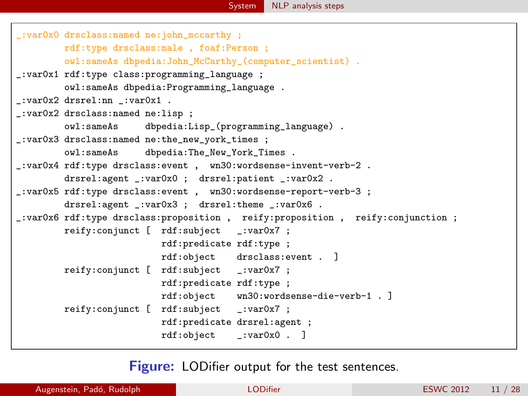```
_:var0x0 drsclass:named ne:john_mccarthy ;
        rdf:type drsclass:male , foaf:Person ;
        owl:sameAs dbpedia:John_McCarthy_(computer_scientist) .
_:var0x1 rdf:type class:programming_language ;
        owl:sameAs dbpedia:Programming_language .
_:var0x2 drsrel:nn _:var0x1 .
_:var0x2 drsclass:named ne:lisp ;
        owl:sameAs dbpedia:Lisp_(programming_language) .
_:var0x3 drsclass:named ne:the_new_york_times ;
        owl:sameAs dbpedia:The_New_York_Times .
_:var0x4 rdf:type drsclass:event , wn30:wordsense-invent-verb-2 .
        drsrel:agent _:var0x0 ; drsrel:patient _:var0x2 .
_:var0x5 rdf:type drsclass:event , wn30:wordsense-report-verb-3 ;
        drsrel:agent :var0x3 : drsrel:theme :var0x6.
_:var0x6 rdf:type drsclass:proposition , reify:proposition , reify:conjunction ;
        reify:conjunct [ rdf:subject _:var0x7 ;
                          rdf:predicate rdf:type ;
                          rdf:object drsclass:event . ]
        reify:conjunct [ rdf:subject _:var0x7 ;
                          rdf:predicate rdf:type ;
                          rdf:object wn30:wordsense-die-verb-1 . ]
        reify:conjunct [ rdf:subject _:var0x7 ;
                          rdf:predicate drsrel:agent ;
                          rdf:object _:var0x0 . ]
```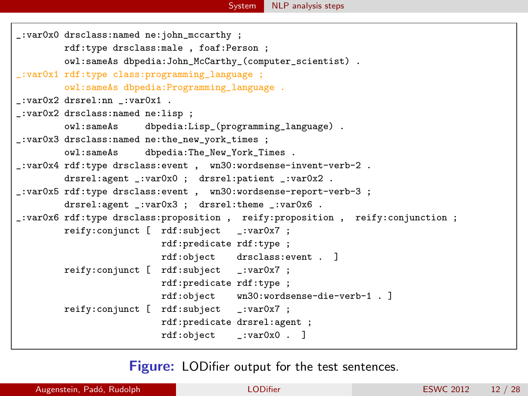```
SystemNLP analysis steps
```

```
_:var0x0 drsclass:named ne:john_mccarthy ;
        rdf:type drsclass:male , foaf:Person ;
        owl:sameAs dbpedia:John_McCarthy_(computer_scientist) .
_:var0x1 rdf:type class:programming_language ;
        owl:sameAs dbpedia:Programming_language .
_:var0x2 drsrel:nn _:var0x1 .
_:var0x2 drsclass:named ne:lisp ;
        owl:sameAs dbpedia:Lisp_(programming_language) .
_:var0x3 drsclass:named ne:the_new_york_times ;
        owl:sameAs dbpedia:The_New_York_Times .
_:var0x4 rdf:type drsclass:event , wn30:wordsense-invent-verb-2 .
        drsrel:agent _:var0x0 ; drsrel:patient _:var0x2 .
_:var0x5 rdf:type drsclass:event , wn30:wordsense-report-verb-3 ;
        drsrel:agent :var0x3 : drsrel:theme :var0x6.
_:var0x6 rdf:type drsclass:proposition , reify:proposition , reify:conjunction ;
        reify:conjunct [ rdf:subject _:var0x7 ;
                          rdf:predicate rdf:type ;
                          rdf:object drsclass:event . ]
        reify:conjunct [ rdf:subject _:var0x7 ;
                          rdf:predicate rdf:type ;
                          rdf:object wn30:wordsense-die-verb-1 . ]
        reify:conjunct [ rdf:subject _:var0x7 ;
                          rdf:predicate drsrel:agent ;
                          rdf:object _:var0x0 . ]
```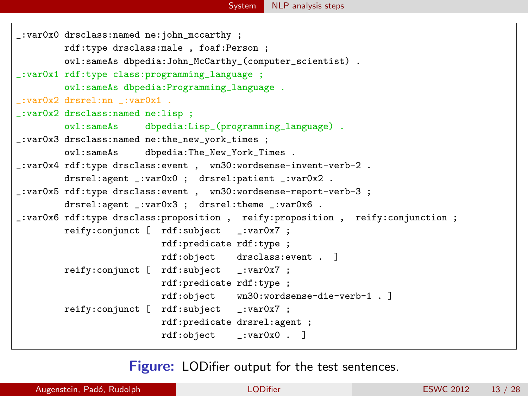```
_:var0x0 drsclass:named ne:john_mccarthy ;
        rdf:type drsclass:male , foaf:Person ;
        owl:sameAs dbpedia:John_McCarthy_(computer_scientist) .
_:var0x1 rdf:type class:programming_language ;
        owl:sameAs dbpedia:Programming_language .
_:var0x2 drsrel:nn _:var0x1 .
_:var0x2 drsclass:named ne:lisp ;
        owl:sameAs dbpedia:Lisp_(programming_language) .
_:var0x3 drsclass:named ne:the_new_york_times ;
        owl:sameAs dbpedia:The_New_York_Times .
_:var0x4 rdf:type drsclass:event , wn30:wordsense-invent-verb-2 .
        drsrel:agent :var0x0 : drsrel:patient :var0x2 .
_:var0x5 rdf:type drsclass:event , wn30:wordsense-report-verb-3 ;
        drsrel:agent :var0x3 : drsrel:theme :var0x6.
_:var0x6 rdf:type drsclass:proposition , reify:proposition , reify:conjunction ;
        reify:conjunct [ rdf:subject _:var0x7 ;
                          rdf:predicate rdf:type ;
                          rdf:object drsclass:event . ]
        reify:conjunct [ rdf:subject _:var0x7 ;
                          rdf:predicate rdf:type ;
                          rdf:object wn30:wordsense-die-verb-1 . ]
        reify:conjunct [ rdf:subject _:var0x7 ;
                          rdf:predicate drsrel:agent ;
                          rdf:object _:var0x0 . ]
```
<span id="page-12-0"></span>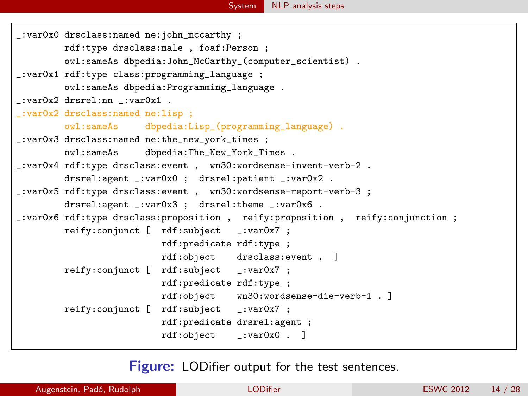```
_:var0x0 drsclass:named ne:john_mccarthy ;
        rdf:type drsclass:male , foaf:Person ;
        owl:sameAs dbpedia:John_McCarthy_(computer_scientist) .
_:var0x1 rdf:type class:programming_language ;
        owl:sameAs dbpedia:Programming_language .
_:var0x2 drsrel:nn _:var0x1 .
_:var0x2 drsclass:named ne:lisp ;
        owl:sameAs dbpedia:Lisp_(programming_language) .
_:var0x3 drsclass:named ne:the_new_york_times ;
        owl:sameAs dbpedia:The_New_York_Times .
_:var0x4 rdf:type drsclass:event , wn30:wordsense-invent-verb-2 .
        drsrel:agent _:var0x0 ; drsrel:patient _:var0x2 .
_:var0x5 rdf:type drsclass:event , wn30:wordsense-report-verb-3 ;
        drsrel:agent :var0x3 : drsrel:theme :var0x6.
_:var0x6 rdf:type drsclass:proposition , reify:proposition , reify:conjunction ;
        reify:conjunct [ rdf:subject _:var0x7 ;
                          rdf:predicate rdf:type ;
                          rdf:object drsclass:event . ]
        reify:conjunct [ rdf:subject _:var0x7 ;
                          rdf:predicate rdf:type ;
                          rdf:object wn30:wordsense-die-verb-1 . ]
        reify:conjunct [ rdf:subject _:var0x7 ;
                          rdf:predicate drsrel:agent ;
                          rdf:object _:var0x0 . ]
```
<span id="page-13-0"></span>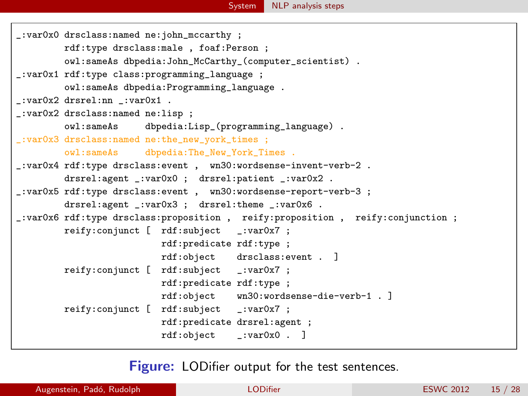```
_:var0x0 drsclass:named ne:john_mccarthy ;
        rdf:type drsclass:male , foaf:Person ;
        owl:sameAs dbpedia:John_McCarthy_(computer_scientist) .
_:var0x1 rdf:type class:programming_language ;
        owl:sameAs dbpedia:Programming_language .
_:var0x2 drsrel:nn _:var0x1 .
_:var0x2 drsclass:named ne:lisp ;
        owl:sameAs dbpedia:Lisp_(programming_language) .
_:var0x3 drsclass:named ne:the_new_york_times ;
        owl:sameAs dbpedia:The_New_York_Times .
_:var0x4 rdf:type drsclass:event , wn30:wordsense-invent-verb-2 .
        drsrel:agent _:var0x0 ; drsrel:patient _:var0x2 .
_:var0x5 rdf:type drsclass:event , wn30:wordsense-report-verb-3 ;
        drsrel:agent :var0x3 : drsrel:theme :var0x6.
_:var0x6 rdf:type drsclass:proposition , reify:proposition , reify:conjunction ;
        reify:conjunct [ rdf:subject _:var0x7 ;
                          rdf:predicate rdf:type ;
                          rdf:object drsclass:event . ]
        reify:conjunct [ rdf:subject _:var0x7 ;
                          rdf:predicate rdf:type ;
                          rdf:object wn30:wordsense-die-verb-1 . ]
        reify:conjunct [ rdf:subject _:var0x7 ;
                          rdf:predicate drsrel:agent ;
                          rdf:object _:var0x0 . ]
```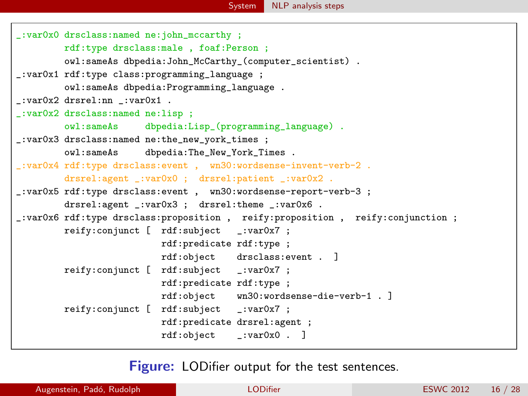

```
_:var0x0 drsclass:named ne:john_mccarthy ;
        rdf:type drsclass:male , foaf:Person ;
        owl:sameAs dbpedia:John_McCarthy_(computer_scientist) .
_:var0x1 rdf:type class:programming_language ;
        owl:sameAs dbpedia:Programming_language .
_:var0x2 drsrel:nn _:var0x1 .
_:var0x2 drsclass:named ne:lisp ;
        owl:sameAs dbpedia:Lisp_(programming_language) .
_:var0x3 drsclass:named ne:the_new_york_times ;
        owl:sameAs dbpedia:The_New_York_Times .
_:var0x4 rdf:type drsclass:event , wn30:wordsense-invent-verb-2 .
        drsrel:agent :var0x0 : drsrel:patient :var0x2 .
_:var0x5 rdf:type drsclass:event , wn30:wordsense-report-verb-3 ;
        drsrel:agent :var0x3 : drsrel:theme :var0x6 .
_:var0x6 rdf:type drsclass:proposition , reify:proposition , reify:conjunction ;
        reify:conjunct [ rdf:subject _:var0x7 ;
                          rdf:predicate rdf:type ;
                          rdf:object drsclass:event . ]
        reify:conjunct [ rdf:subject _:var0x7 ;
                          rdf:predicate rdf:type ;
                          rdf:object wn30:wordsense-die-verb-1 . ]
        reify:conjunct [ rdf:subject _:var0x7 ;
                          rdf:predicate drsrel:agent ;
                          rdf:object _:var0x0 . ]
```
<span id="page-15-0"></span>**Figure:** LODifier output for the test sentences.

Augenstein, Padó, Rudolph **[LODifier](#page-0-0) (2002)**<br>
LODifier ESWC 2012 16 / 28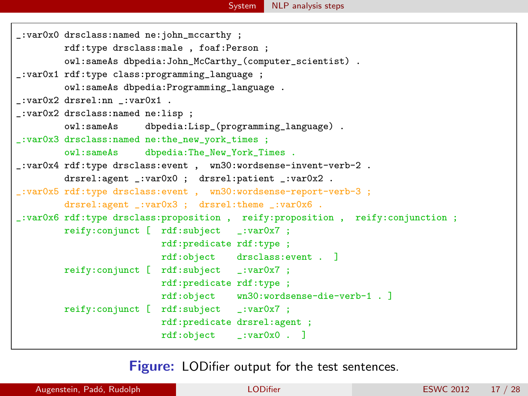```
_:var0x0 drsclass:named ne:john_mccarthy ;
        rdf:type drsclass:male , foaf:Person ;
        owl:sameAs dbpedia:John_McCarthy_(computer_scientist) .
_:var0x1 rdf:type class:programming_language ;
        owl:sameAs dbpedia:Programming_language .
_:var0x2 drsrel:nn _:var0x1 .
_:var0x2 drsclass:named ne:lisp ;
        owl:sameAs dbpedia:Lisp_(programming_language) .
_:var0x3 drsclass:named ne:the_new_york_times ;
        owl:sameAs dbpedia:The_New_York_Times .
_:var0x4 rdf:type drsclass:event , wn30:wordsense-invent-verb-2 .
        drsrel:agent _:var0x0 ; drsrel:patient _:var0x2 .
_:var0x5 rdf:type drsclass:event , wn30:wordsense-report-verb-3 ;
        drsrel:agent :var0x3 : drsrel:theme :var0x6.
_:var0x6 rdf:type drsclass:proposition , reify:proposition , reify:conjunction ;
        reify:conjunct [ rdf:subject _:var0x7 ;
                          rdf:predicate rdf:type ;
                         rdf:object drsclass:event . ]
        reify:conjunct [ rdf:subject _:var0x7 ;
                          rdf:predicate rdf:type ;
                         rdf:object wn30:wordsense-die-verb-1 . ]
        reify:conjunct [ rdf:subject _:var0x7 ;
                          rdf:predicate drsrel:agent ;
                          rdf:object _:var0x0 . ]
```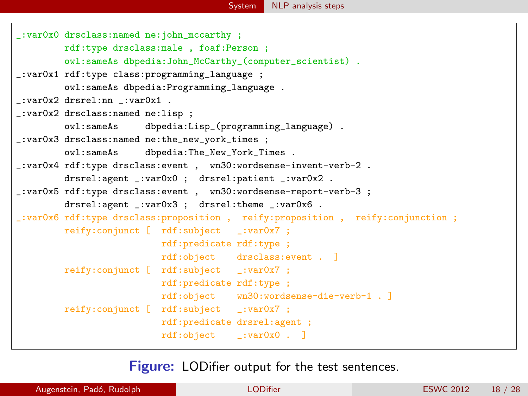```
_:var0x0 drsclass:named ne:john_mccarthy ;
        rdf:type drsclass:male , foaf:Person ;
        owl:sameAs dbpedia:John_McCarthy_(computer_scientist) .
_:var0x1 rdf:type class:programming_language ;
        owl:sameAs dbpedia:Programming_language .
_:var0x2 drsrel:nn _:var0x1 .
_:var0x2 drsclass:named ne:lisp ;
        owl:sameAs dbpedia:Lisp_(programming_language) .
_:var0x3 drsclass:named ne:the_new_york_times ;
        owl:sameAs dbpedia:The_New_York_Times .
_:var0x4 rdf:type drsclass:event , wn30:wordsense-invent-verb-2 .
        drsrel:agent _:var0x0 ; drsrel:patient _:var0x2 .
_:var0x5 rdf:type drsclass:event , wn30:wordsense-report-verb-3 ;
        drsrel:agent _:var0x3 ; drsrel:theme _:var0x6 .
_:var0x6 rdf:type drsclass:proposition , reify:proposition , reify:conjunction ;
        reify:conjunct [ rdf:subject _:var0x7 ;
                          rdf:predicate rdf:type ;
                          rdf:object drsclass:event . ]
        reify:conjunct [ rdf:subject _:var0x7 ;
                          rdf:predicate rdf:type ;
                         rdf:object wn30:wordsense-die-verb-1 . ]
        reify:conjunct [ rdf:subject _:var0x7 ;
                          rdf:predicate drsrel:agent ;
                          rdf:object _:var0x0 . ]
```
<span id="page-17-0"></span>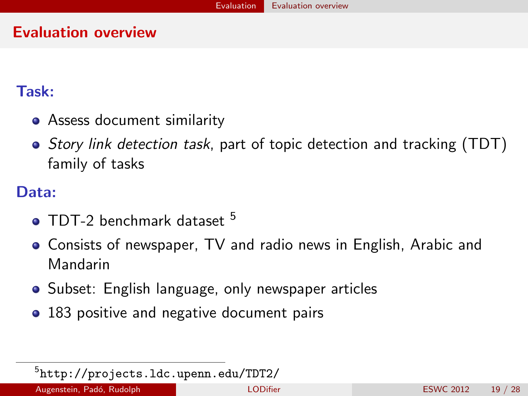#### Evaluation overview

#### Task:

- Assess document similarity
- Story link detection task, part of topic detection and tracking (TDT) family of tasks

### Data:

- $\bullet$  TDT-2 benchmark dataset  $^5$
- Consists of newspaper, TV and radio news in English, Arabic and Mandarin
- Subset: English language, only newspaper articles
- 183 positive and negative document pairs

<span id="page-18-0"></span><sup>5</sup> <http://projects.ldc.upenn.edu/TDT2/>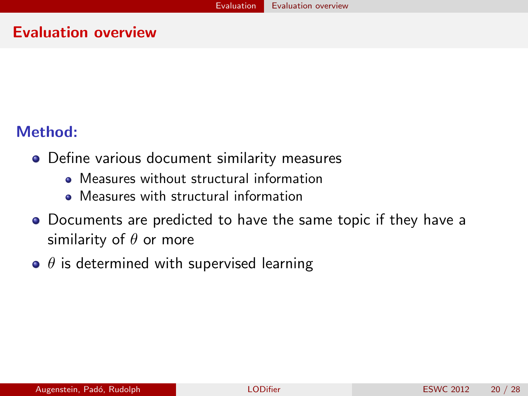#### Evaluation overview

#### Method:

- Define various document similarity measures
	- Measures without structural information
	- Measures with structural information
- Documents are predicted to have the same topic if they have a similarity of  $\theta$  or more
- <span id="page-19-0"></span> $\bullet$   $\theta$  is determined with supervised learning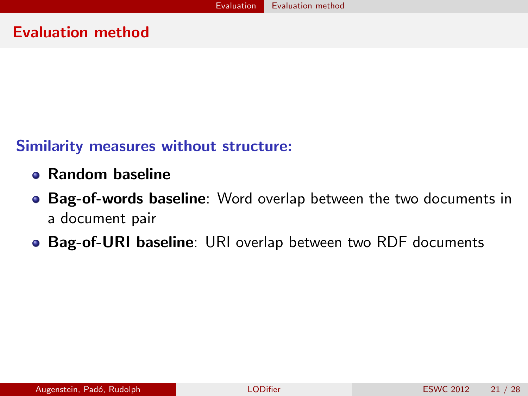#### Similarity measures without structure:

- Random baseline
- **Bag-of-words baseline**: Word overlap between the two documents in a document pair
- <span id="page-20-0"></span>Bag-of-URI baseline: URI overlap between two RDF documents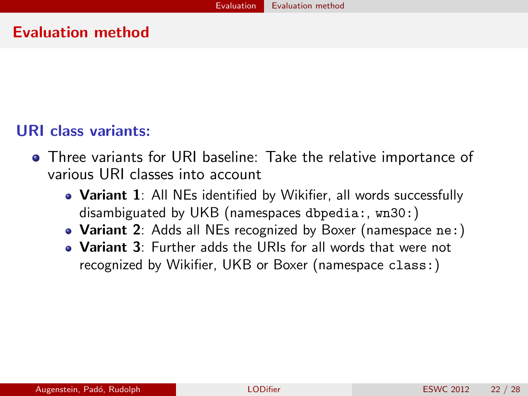#### URI class variants:

- <span id="page-21-0"></span>Three variants for URI baseline: Take the relative importance of various URI classes into account
	- Variant 1: All NEs identified by Wikifier, all words successfully disambiguated by UKB (namespaces dbpedia:, wn30:)
	- Variant 2: Adds all NEs recognized by Boxer (namespace ne:)
	- Variant 3: Further adds the URIs for all words that were not recognized by Wikifier, UKB or Boxer (namespace class:)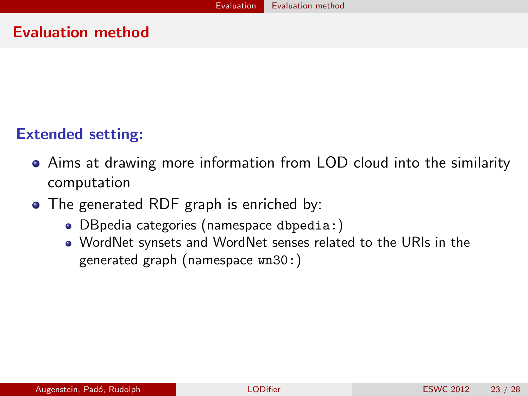#### Extended setting:

- Aims at drawing more information from LOD cloud into the similarity computation
- <span id="page-22-0"></span>• The generated RDF graph is enriched by:
	- DBpedia categories (namespace dbpedia:)
	- WordNet synsets and WordNet senses related to the URIs in the generated graph (namespace wn30:)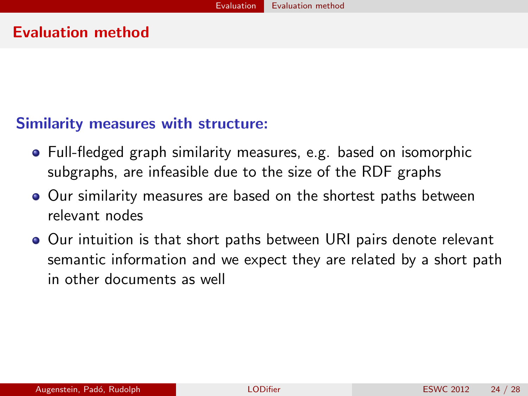#### Similarity measures with structure:

- Full-fledged graph similarity measures, e.g. based on isomorphic subgraphs, are infeasible due to the size of the RDF graphs
- **Our similarity measures are based on the shortest paths between** relevant nodes
- <span id="page-23-0"></span>● Our intuition is that short paths between URI pairs denote relevant semantic information and we expect they are related by a short path in other documents as well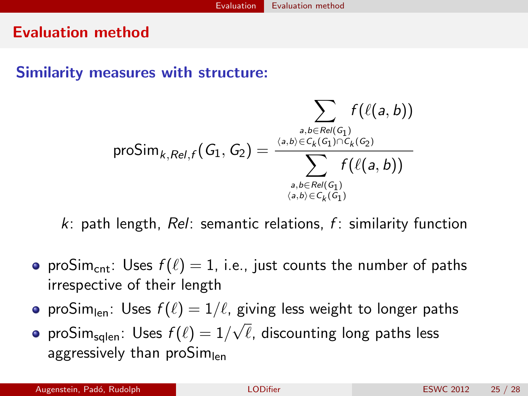#### Similarity measures with structure:

$$
\text{proSim}_{k,Rel, f}(G_1, G_2) = \frac{\displaystyle\sum_{a,b \in Rel(G_1)} f(\ell(a,b))}{\displaystyle\sum_{a,b \in C_k(G_1) \cap C_k(G_2)} \over \displaystyle\sum_{a,b \in Rel(G_1) \atop \langle a,b \rangle \in C_k(G_1)} f(\ell(a,b))}
$$

 $k$ : path length, Rel: semantic relations, f: similarity function

- proSim<sub>cnt</sub>: Uses  $f(\ell) = 1$ , i.e., just counts the number of paths irrespective of their length
- proSim<sub>len</sub>: Uses  $f(\ell) = 1/\ell$ , giving less weight to longer paths √
- <span id="page-24-0"></span>pro $\mathsf{Sim}_{\mathsf{sqlen}}\colon \mathsf{Uses}\;f(\ell) = 1/$  $\ell$ , discounting long paths less aggressively than proSim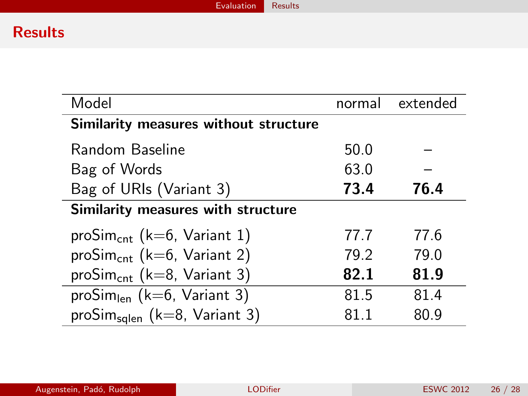### **Results**

<span id="page-25-0"></span>

| Model                                      | normal | extended |  |  |
|--------------------------------------------|--------|----------|--|--|
| Similarity measures without structure      |        |          |  |  |
| Random Baseline                            | 50.0   |          |  |  |
| Bag of Words                               | 63.0   |          |  |  |
| Bag of URIs (Variant 3)                    | 73.4   | 76.4     |  |  |
| Similarity measures with structure         |        |          |  |  |
| proSim <sub>cnt</sub> (k=6, Variant 1)     | 77.7   | 77 6     |  |  |
| proSim <sub>cnt</sub> (k=6, Variant 2)     | 79.2   | 79.0     |  |  |
| proSim <sub>cnt</sub> ( $k=8$ , Variant 3) | 82.1   | 81.9     |  |  |
| proSim <sub>len</sub> (k=6, Variant 3)     | 81.5   | 81.4     |  |  |
| proSim <sub>sqlen</sub> (k=8, Variant 3)   | 81 1   | 80.9     |  |  |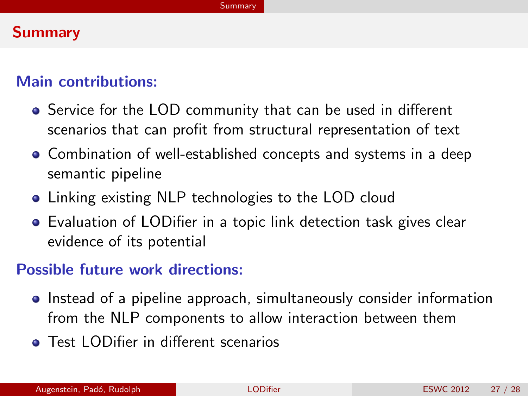#### **Summary**

#### Main contributions:

- Service for the LOD community that can be used in different scenarios that can profit from structural representation of text
- Combination of well-established concepts and systems in a deep semantic pipeline
- **Linking existing NLP technologies to the LOD cloud**
- Evaluation of LODifier in a topic link detection task gives clear evidence of its potential

#### Possible future work directions:

- Instead of a pipeline approach, simultaneously consider information from the NLP components to allow interaction between them
- <span id="page-26-0"></span>**• Test LODifier in different scenarios**